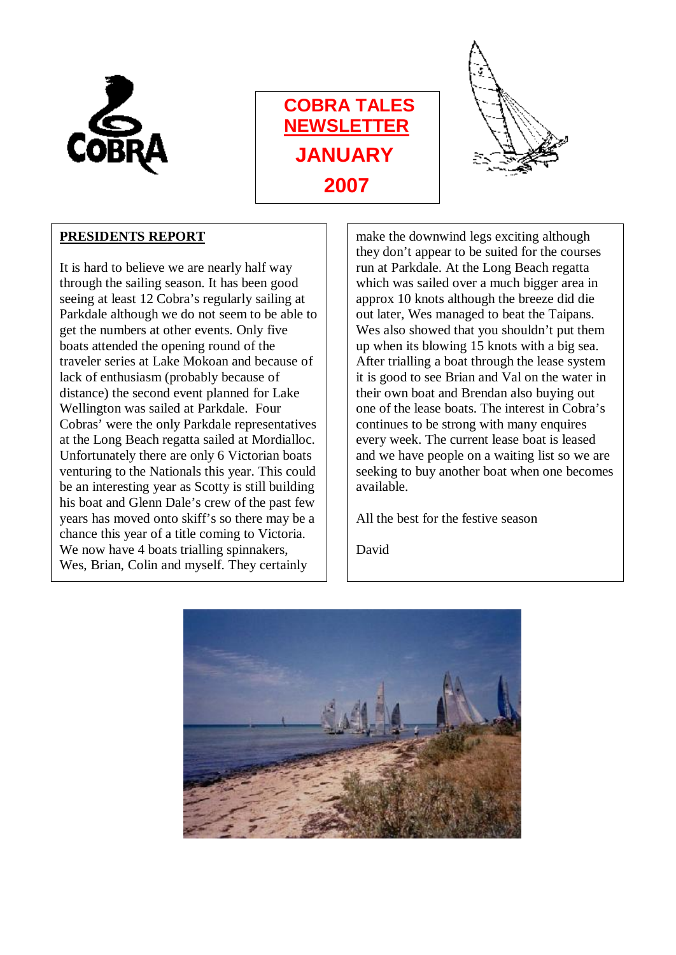





### **PRESIDENTS REPORT**

It is hard to believe we are nearly half way through the sailing season. It has been good seeing at least 12 Cobra's regularly sailing at Parkdale although we do not seem to be able to get the numbers at other events. Only five boats attended the opening round of the traveler series at Lake Mokoan and because of lack of enthusiasm (probably because of distance) the second event planned for Lake Wellington was sailed at Parkdale. Four Cobras' were the only Parkdale representatives at the Long Beach regatta sailed at Mordialloc. Unfortunately there are only 6 Victorian boats venturing to the Nationals this year. This could be an interesting year as Scotty is still building his boat and Glenn Dale's crew of the past few years has moved onto skiff's so there may be a chance this year of a title coming to Victoria. We now have 4 boats trialling spinnakers, Wes, Brian, Colin and myself. They certainly

make the downwind legs exciting although they don't appear to be suited for the courses run at Parkdale. At the Long Beach regatta which was sailed over a much bigger area in approx 10 knots although the breeze did die out later, Wes managed to beat the Taipans. Wes also showed that you shouldn't put them up when its blowing 15 knots with a big sea. After trialling a boat through the lease system it is good to see Brian and Val on the water in their own boat and Brendan also buying out one of the lease boats. The interest in Cobra's continues to be strong with many enquires every week. The current lease boat is leased and we have people on a waiting list so we are seeking to buy another boat when one becomes available.

All the best for the festive season

David

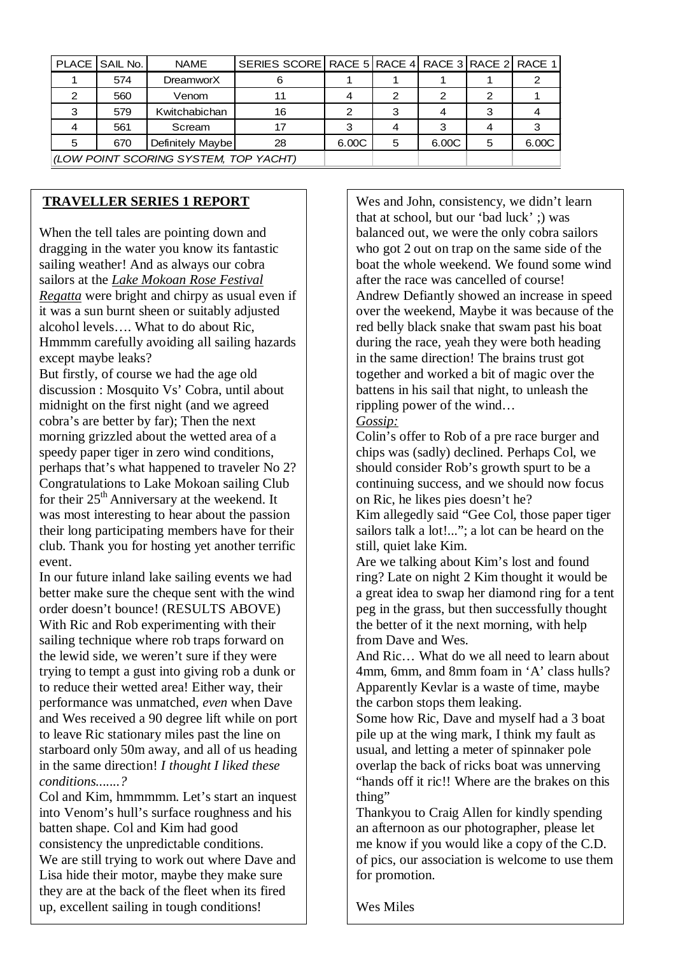|                                       | PLACE SAIL No. | <b>NAME</b>      | SERIES SCORE RACE 5 RACE 4 RACE 3 RACE 2 RACE 1 |       |   |       |   |       |
|---------------------------------------|----------------|------------------|-------------------------------------------------|-------|---|-------|---|-------|
|                                       | 574            | <b>DreamworX</b> |                                                 |       |   |       |   |       |
|                                       | 560            | Venom            |                                                 |       |   |       |   |       |
|                                       | 579            | Kwitchabichan    | 16                                              |       |   |       |   |       |
|                                       | 561            | Scream           |                                                 |       |   |       |   |       |
| 5                                     | 670            | Definitely Maybe | 28                                              | 6.00C | 5 | 6.00C | 5 | 6.00C |
| (LOW POINT SCORING SYSTEM, TOP YACHT) |                |                  |                                                 |       |   |       |   |       |

#### **TRAVELLER SERIES 1 REPORT**

When the tell tales are pointing down and dragging in the water you know its fantastic sailing weather! And as always our cobra sailors at the *Lake Mokoan Rose Festival Regatta* were bright and chirpy as usual even if it was a sun burnt sheen or suitably adjusted alcohol levels…. What to do about Ric, Hmmmm carefully avoiding all sailing hazards except maybe leaks?

But firstly, of course we had the age old discussion : Mosquito Vs' Cobra, until about midnight on the first night (and we agreed cobra's are better by far); Then the next morning grizzled about the wetted area of a speedy paper tiger in zero wind conditions, perhaps that's what happened to traveler No 2? Congratulations to Lake Mokoan sailing Club for their 25<sup>th</sup> Anniversary at the weekend. It was most interesting to hear about the passion their long participating members have for their club. Thank you for hosting yet another terrific event.

In our future miand fake saming events we had<br>better make sure the cheque sent with the wind In our future inland lake sailing events we had order doesn't bounce! (RESULTS ABOVE) With Ric and Rob experimenting with their sailing technique where rob traps forward on the lewid side, we weren't sure if they were trying to tempt a gust into giving rob a dunk or to reduce their wetted area! Either way, their performance was unmatched, *even* when Dave and Wes received a 90 degree lift while on port to leave Ric stationary miles past the line on starboard only 50m away, and all of us heading in the same direction! *I thought I liked these conditions.......?*

 Col and Kim, hmmmmm. Let's start an inquest into Venom's hull's surface roughness and his batten shape. Col and Kim had good consistency the unpredictable conditions. We are still trying to work out where Dave and Lisa hide their motor, maybe they make sure they are at the back of the fleet when its fired up, excellent sailing in tough conditions!

Wes and John, consistency, we didn't learn that at school, but our 'bad luck' ;) was balanced out, we were the only cobra sailors who got 2 out on trap on the same side of the boat the whole weekend. We found some wind after the race was cancelled of course! Andrew Defiantly showed an increase in speed over the weekend, Maybe it was because of the red belly black snake that swam past his boat during the race, yeah they were both heading in the same direction! The brains trust got together and worked a bit of magic over the battens in his sail that night, to unleash the rippling power of the wind… *Gossip:*

Colin's offer to Rob of a pre race burger and chips was (sadly) declined. Perhaps Col, we should consider Rob's growth spurt to be a continuing success, and we should now focus on Ric, he likes pies doesn't he?

Kim allegedly said "Gee Col, those paper tiger sailors talk a lot!..."; a lot can be heard on the still, quiet lake Kim.

Are we talking about Kim's lost and found ring? Late on night 2 Kim thought it would be a great idea to swap her diamond ring for a tent peg in the grass, but then successfully thought the better of it the next morning, with help from Dave and Wes.

And Ric… What do we all need to learn about 4mm, 6mm, and 8mm foam in 'A' class hulls? Apparently Kevlar is a waste of time, maybe the carbon stops them leaking.

Some how Ric, Dave and myself had a 3 boat pile up at the wing mark, I think my fault as usual, and letting a meter of spinnaker pole overlap the back of ricks boat was unnerving "hands off it ric!! Where are the brakes on this thing"

Thankyou to Craig Allen for kindly spending an afternoon as our photographer, please let me know if you would like a copy of the C.D. of pics, our association is welcome to use them for promotion.

Wes Miles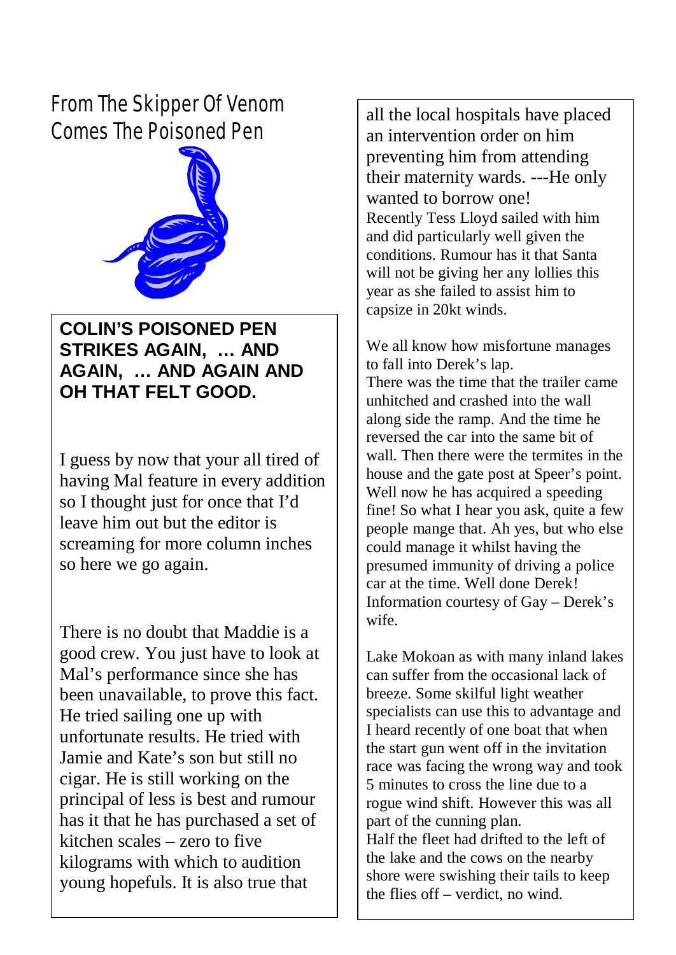*From The Skipper Of Venom Comes The Poisoned Pen*



# **COLIN'S POISONED PEN STRIKES AGAIN, … AND AGAIN, … AND AGAIN AND OH THAT FELT GOOD.**

I guess by now that your all tired of having Mal feature in every addition so I thought just for once that I'd leave him out but the editor is screaming for more column inches so here we go again.

There is no doubt that Maddie is a good crew. You just have to look at Mal's performance since she has been unavailable, to prove this fact. He tried sailing one up with unfortunate results. He tried with Jamie and Kate's son but still no cigar. He is still working on the principal of less is best and rumour has it that he has purchased a set of kitchen scales – zero to five kilograms with which to audition young hopefuls. It is also true that

all the local hospitals have placed an intervention order on him preventing him from attending their maternity wards. ---He only wanted to borrow one! Recently Tess Lloyd sailed with him and did particularly well given the conditions. Rumour has it that Santa will not be giving her any lollies this year as she failed to assist him to capsize in 20kt winds.

We all know how misfortune manages to fall into Derek's lap. There was the time that the trailer came unhitched and crashed into the wall along side the ramp. And the time he reversed the car into the same bit of wall. Then there were the termites in the house and the gate post at Speer's point. Well now he has acquired a speeding fine! So what I hear you ask, quite a few people mange that. Ah yes, but who else could manage it whilst having the presumed immunity of driving a police car at the time. Well done Derek! Information courtesy of Gay – Derek's wife.

Lake Mokoan as with many inland lakes can suffer from the occasional lack of breeze. Some skilful light weather specialists can use this to advantage and I heard recently of one boat that when the start gun went off in the invitation race was facing the wrong way and took 5 minutes to cross the line due to a rogue wind shift. However this was all part of the cunning plan. Half the fleet had drifted to the left of the lake and the cows on the nearby shore were swishing their tails to keep the flies off – verdict, no wind.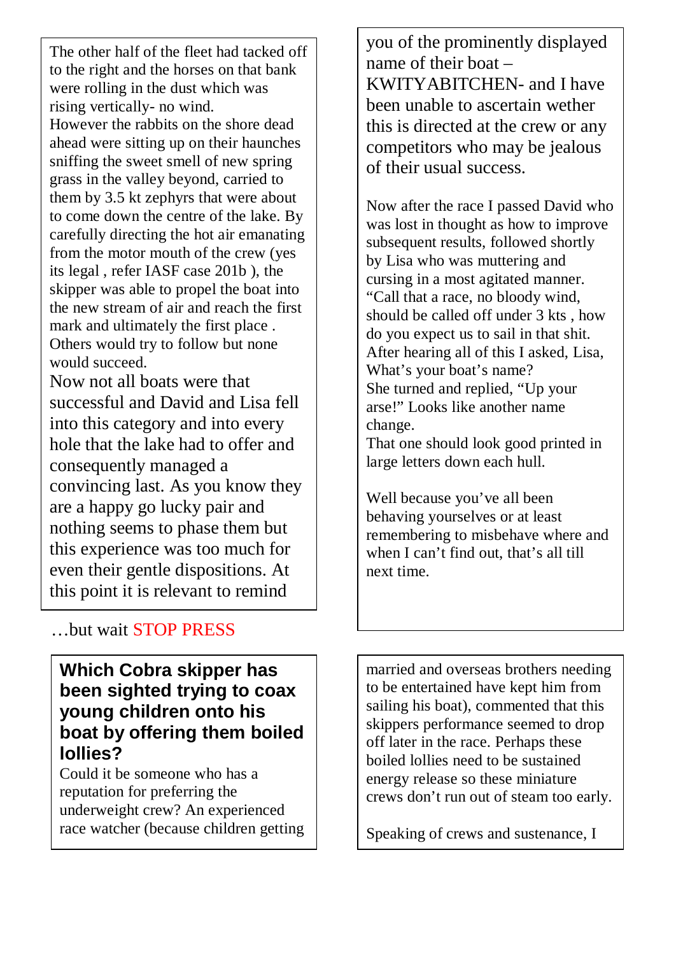The other half of the fleet had tacked off from the motor mouth of the crew (yes to the right and the horses on that bank were rolling in the dust which was rising vertically- no wind. However the rabbits on the shore dead ahead were sitting up on their haunches sniffing the sweet smell of new spring grass in the valley beyond, carried to them by 3.5 kt zephyrs that were about to come down the centre of the lake. By carefully directing the hot air emanating its legal , refer IASF case 201b ), the skipper was able to propel the boat into the new stream of air and reach the first mark and ultimately the first place . Others would try to follow but none would succeed.

Now not all boats were that successful and David and Lisa fell into this category and into every hole that the lake had to offer and consequently managed a convincing last. As you know they are a happy go lucky pair and nothing seems to phase them but this experience was too much for even their gentle dispositions. At this point it is relevant to remind

you of the prominently displayed name of their boat – KWITYABITCHEN- and I have been unable to ascertain wether this is directed at the crew or any competitors who may be jealous of their usual success.

Now after the race I passed David who was lost in thought as how to improve subsequent results, followed shortly by Lisa who was muttering and cursing in a most agitated manner. "Call that a race, no bloody wind, should be called off under 3 kts , how do you expect us to sail in that shit. After hearing all of this I asked, Lisa, What's your boat's name? She turned and replied, "Up your arse!" Looks like another name change.

That one should look good printed in large letters down each hull.

Well because you've all been behaving yourselves or at least remembering to misbehave where and when I can't find out, that's all till next time.

### …but wait STOP PRESS

## **Which Cobra skipper has been sighted trying to coax young children onto his boat by offering them boiled lollies?**

Could it be someone who has a reputation for preferring the underweight crew? An experienced race watcher (because children getting

married and overseas brothers needing to be entertained have kept him from sailing his boat), commented that this skippers performance seemed to drop off later in the race. Perhaps these boiled lollies need to be sustained energy release so these miniature crews don't run out of steam too early.

Speaking of crews and sustenance, I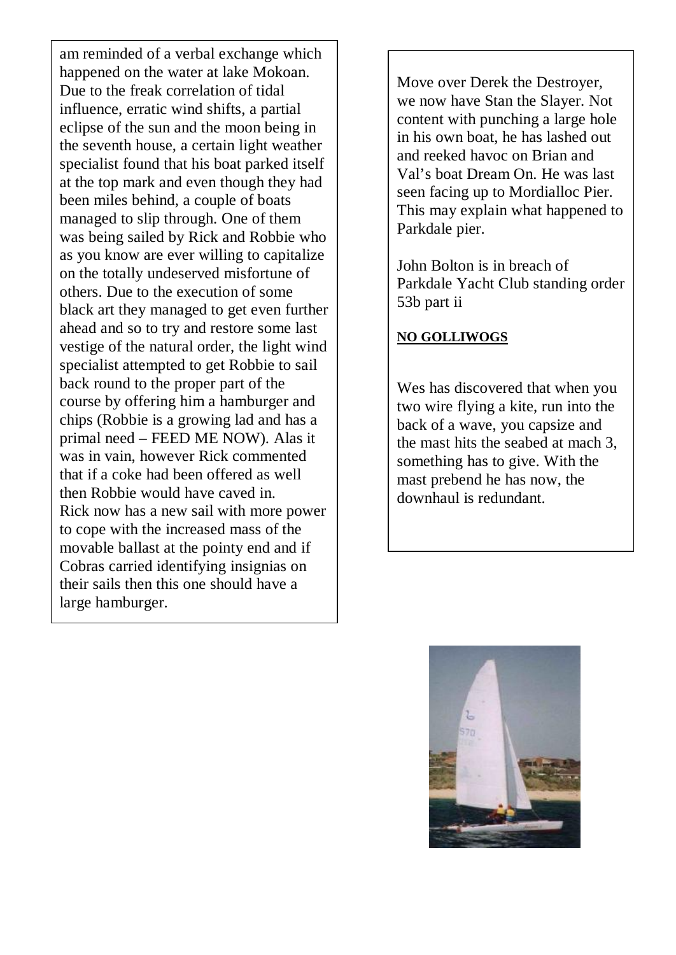am reminded of a verbal exchange which happened on the water at lake Mokoan. Due to the freak correlation of tidal influence, erratic wind shifts, a partial eclipse of the sun and the moon being in the seventh house, a certain light weather specialist found that his boat parked itself at the top mark and even though they had been miles behind, a couple of boats managed to slip through. One of them was being sailed by Rick and Robbie who as you know are ever willing to capitalize on the totally undeserved misfortune of others. Due to the execution of some black art they managed to get even further ahead and so to try and restore some last vestige of the natural order, the light wind specialist attempted to get Robbie to sail back round to the proper part of the course by offering him a hamburger and chips (Robbie is a growing lad and has a primal need – FEED ME NOW). Alas it was in vain, however Rick commented that if a coke had been offered as well then Robbie would have caved in. Rick now has a new sail with more power to cope with the increased mass of the movable ballast at the pointy end and if Cobras carried identifying insignias on their sails then this one should have a large hamburger.

Move over Derek the Destroyer, we now have Stan the Slayer. Not content with punching a large hole in his own boat, he has lashed out and reeked havoc on Brian and Val's boat Dream On. He was last seen facing up to Mordialloc Pier. This may explain what happened to Parkdale pier.

John Bolton is in breach of Parkdale Yacht Club standing order 53b part ii

#### **NO GOLLIWOGS**

Wes has discovered that when you two wire flying a kite, run into the back of a wave, you capsize and the mast hits the seabed at mach 3, something has to give. With the mast prebend he has now, the downhaul is redundant.